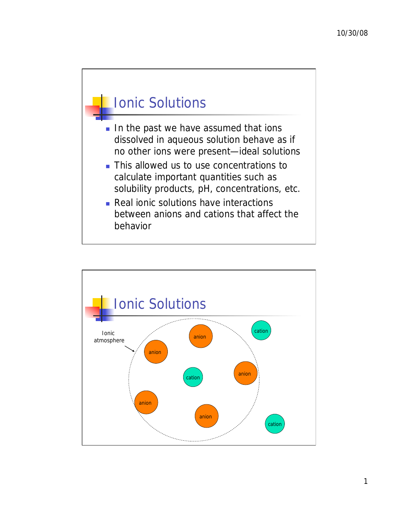

- In the past we have assumed that ions dissolved in aqueous solution behave as if no other ions were present—ideal solutions
- **This allowed us to use concentrations to** calculate important quantities such as solubility products, pH, concentrations, etc.
- Real ionic solutions have interactions between anions and cations that affect the behavior

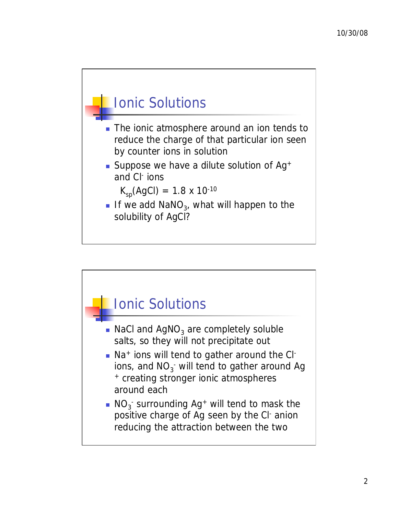

- The ionic atmosphere around an ion tends to reduce the charge of that particular ion seen by counter ions in solution
- Suppose we have a dilute solution of  $Ag^+$ and Cl- ions

 $K_{sp}(AgCl) = 1.8 \times 10^{-10}$ 

If we add NaNO<sub>3</sub>, what will happen to the solubility of AgCl?

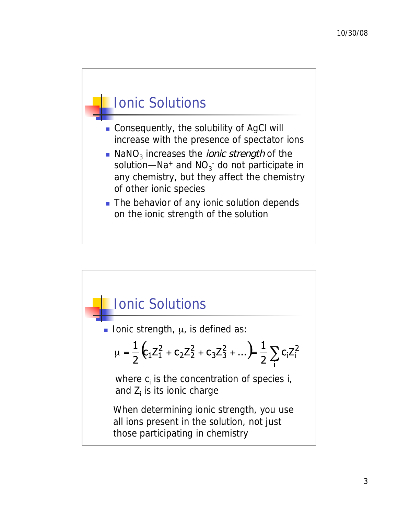

- Consequently, the solubility of AgCl will increase with the presence of spectator ions
- $\blacksquare$  NaNO<sub>3</sub> increases the *ionic strength* of the solution—Na+ and  $NO_{3}^-$  do not participate in any chemistry, but they affect the chemistry of other ionic species
- The behavior of any ionic solution depends on the ionic strength of the solution

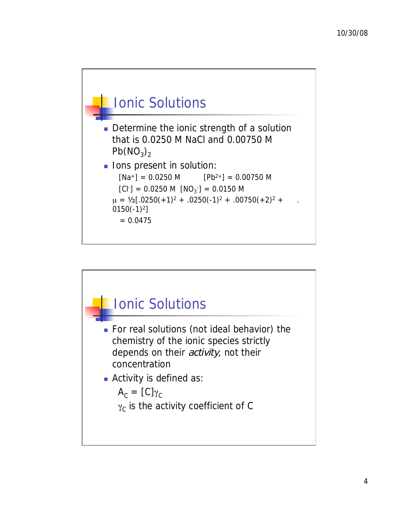

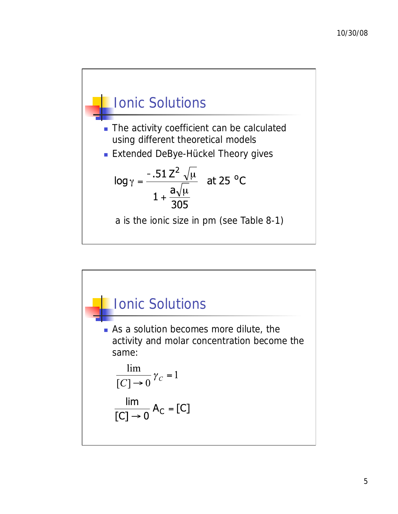

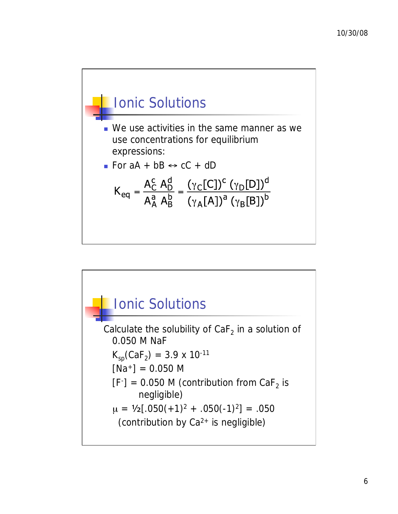

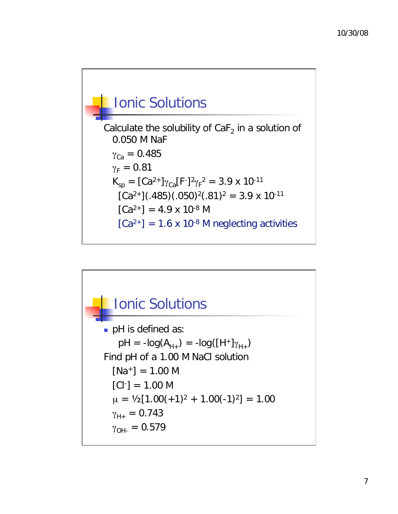

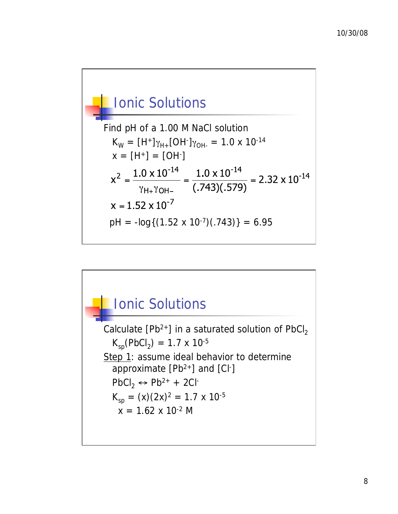

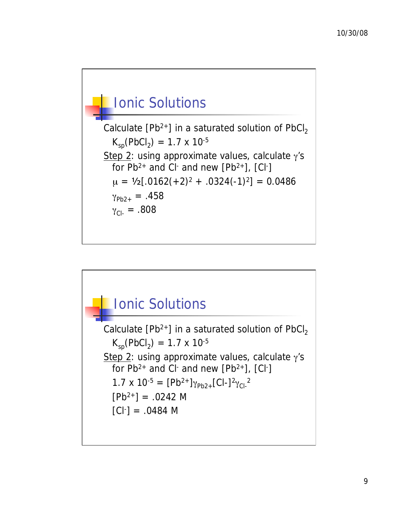